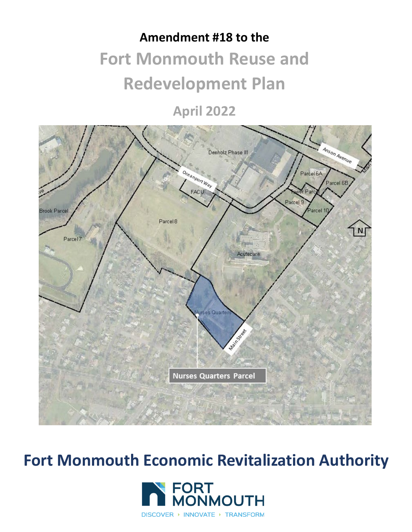# **Amendment #18 to the Fort Monmouth Reuse and Redevelopment Plan**

**April 2022**



**Fort Monmouth Economic Revitalization Authority**

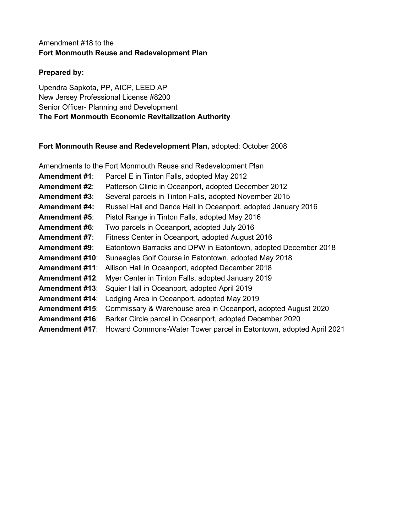#### Amendment #18 to the **Fort Monmouth Reuse and Redevelopment Plan**

#### **Prepared by:**

Upendra Sapkota, PP, AICP, LEED AP New Jersey Professional License #8200 Senior Officer- Planning and Development **The Fort Monmouth Economic Revitalization Authority**

#### **Fort Monmouth Reuse and Redevelopment Plan,** adopted: October 2008

|                       | Amendments to the Fort Monmouth Reuse and Redevelopment Plan       |
|-----------------------|--------------------------------------------------------------------|
| <b>Amendment #1:</b>  | Parcel E in Tinton Falls, adopted May 2012                         |
| <b>Amendment #2:</b>  | Patterson Clinic in Oceanport, adopted December 2012               |
| <b>Amendment #3:</b>  | Several parcels in Tinton Falls, adopted November 2015             |
| <b>Amendment #4:</b>  | Russel Hall and Dance Hall in Oceanport, adopted January 2016      |
| <b>Amendment #5:</b>  | Pistol Range in Tinton Falls, adopted May 2016                     |
| <b>Amendment #6:</b>  | Two parcels in Oceanport, adopted July 2016                        |
| <b>Amendment #7:</b>  | Fitness Center in Oceanport, adopted August 2016                   |
| <b>Amendment #9:</b>  | Eatontown Barracks and DPW in Eatontown, adopted December 2018     |
| <b>Amendment #10:</b> | Suneagles Golf Course in Eatontown, adopted May 2018               |
| <b>Amendment #11:</b> | Allison Hall in Oceanport, adopted December 2018                   |
| <b>Amendment #12:</b> | Myer Center in Tinton Falls, adopted January 2019                  |
| <b>Amendment #13:</b> | Squier Hall in Oceanport, adopted April 2019                       |
| <b>Amendment #14:</b> | Lodging Area in Oceanport, adopted May 2019                        |
| <b>Amendment #15:</b> | Commissary & Warehouse area in Oceanport, adopted August 2020      |
| <b>Amendment #16:</b> | Barker Circle parcel in Oceanport, adopted December 2020           |
| <b>Amendment #17:</b> | Howard Commons-Water Tower parcel in Eatontown, adopted April 2021 |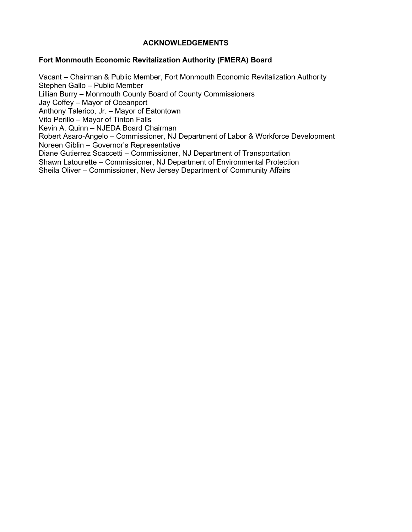#### **ACKNOWLEDGEMENTS**

#### **Fort Monmouth Economic Revitalization Authority (FMERA) Board**

Vacant – Chairman & Public Member, Fort Monmouth Economic Revitalization Authority Stephen Gallo – Public Member Lillian Burry – Monmouth County Board of County Commissioners Jay Coffey – Mayor of Oceanport Anthony Talerico, Jr. – Mayor of Eatontown Vito Perillo – Mayor of Tinton Falls Kevin A. Quinn – NJEDA Board Chairman Robert Asaro-Angelo – Commissioner, NJ Department of Labor & Workforce Development Noreen Giblin – Governor's Representative Diane Gutierrez Scaccetti – Commissioner, NJ Department of Transportation Shawn Latourette – Commissioner, NJ Department of Environmental Protection Sheila Oliver – Commissioner, New Jersey Department of Community Affairs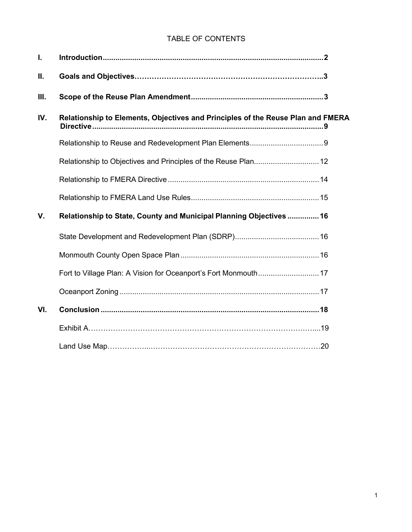#### TABLE OF CONTENTS

| I.   |                                                                                 |  |
|------|---------------------------------------------------------------------------------|--|
| Ш.   |                                                                                 |  |
| III. |                                                                                 |  |
| IV.  | Relationship to Elements, Objectives and Principles of the Reuse Plan and FMERA |  |
|      |                                                                                 |  |
|      |                                                                                 |  |
|      |                                                                                 |  |
|      |                                                                                 |  |
| V.   | Relationship to State, County and Municipal Planning Objectives  16             |  |
|      |                                                                                 |  |
|      |                                                                                 |  |
|      |                                                                                 |  |
|      |                                                                                 |  |
| VI.  |                                                                                 |  |
|      |                                                                                 |  |
|      |                                                                                 |  |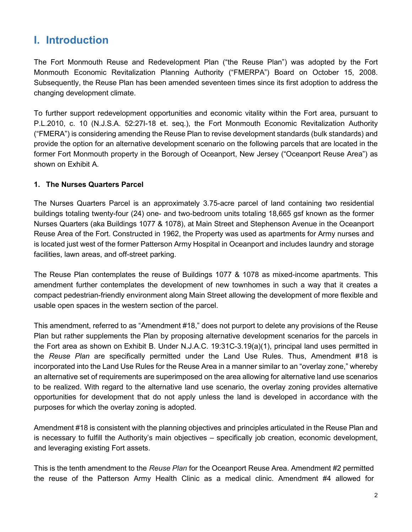## **I. Introduction**

The Fort Monmouth Reuse and Redevelopment Plan ("the Reuse Plan") was adopted by the Fort Monmouth Economic Revitalization Planning Authority ("FMERPA") Board on October 15, 2008. Subsequently, the Reuse Plan has been amended seventeen times since its first adoption to address the changing development climate.

To further support redevelopment opportunities and economic vitality within the Fort area, pursuant to P.L.2010, c. 10 (N.J.S.A. 52:27I-18 et. seq.), the Fort Monmouth Economic Revitalization Authority ("FMERA") is considering amending the Reuse Plan to revise development standards (bulk standards) and provide the option for an alternative development scenario on the following parcels that are located in the former Fort Monmouth property in the Borough of Oceanport, New Jersey ("Oceanport Reuse Area") as shown on Exhibit A.

#### **1. The Nurses Quarters Parcel**

The Nurses Quarters Parcel is an approximately 3.75-acre parcel of land containing two residential buildings totaling twenty-four (24) one- and two-bedroom units totaling 18,665 gsf known as the former Nurses Quarters (aka Buildings 1077 & 1078), at Main Street and Stephenson Avenue in the Oceanport Reuse Area of the Fort. Constructed in 1962, the Property was used as apartments for Army nurses and is located just west of the former Patterson Army Hospital in Oceanport and includes laundry and storage facilities, lawn areas, and off-street parking.

The Reuse Plan contemplates the reuse of Buildings 1077 & 1078 as mixed-income apartments. This amendment further contemplates the development of new townhomes in such a way that it creates a compact pedestrian-friendly environment along Main Street allowing the development of more flexible and usable open spaces in the western section of the parcel.

This amendment, referred to as "Amendment #18," does not purport to delete any provisions of the Reuse Plan but rather supplements the Plan by proposing alternative development scenarios for the parcels in the Fort area as shown on Exhibit B. Under N.J.A.C. 19:31C-3.19(a)(1), principal land uses permitted in the *Reuse Plan* are specifically permitted under the Land Use Rules. Thus, Amendment #18 is incorporated into the Land Use Rules for the Reuse Area in a manner similar to an "overlay zone," whereby an alternative set of requirements are superimposed on the area allowing for alternative land use scenarios to be realized. With regard to the alternative land use scenario, the overlay zoning provides alternative opportunities for development that do not apply unless the land is developed in accordance with the purposes for which the overlay zoning is adopted.

Amendment #18 is consistent with the planning objectives and principles articulated in the Reuse Plan and is necessary to fulfill the Authority's main objectives – specifically job creation, economic development, and leveraging existing Fort assets.

This is the tenth amendment to the *Reuse Plan* for the Oceanport Reuse Area. Amendment #2 permitted the reuse of the Patterson Army Health Clinic as a medical clinic. Amendment #4 allowed for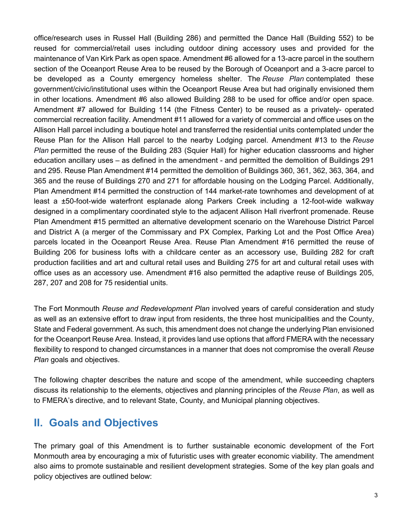office/research uses in Russel Hall (Building 286) and permitted the Dance Hall (Building 552) to be reused for commercial/retail uses including outdoor dining accessory uses and provided for the maintenance of Van Kirk Park as open space. Amendment #6 allowed for a 13-acre parcel in the southern section of the Oceanport Reuse Area to be reused by the Borough of Oceanport and a 3-acre parcel to be developed as a County emergency homeless shelter. The *Reuse Plan* contemplated these government/civic/institutional uses within the Oceanport Reuse Area but had originally envisioned them in other locations. Amendment #6 also allowed Building 288 to be used for office and/or open space. Amendment #7 allowed for Building 114 (the Fitness Center) to be reused as a privately- operated commercial recreation facility. Amendment #11 allowed for a variety of commercial and office uses on the Allison Hall parcel including a boutique hotel and transferred the residential units contemplated under the Reuse Plan for the Allison Hall parcel to the nearby Lodging parcel. Amendment #13 to the *Reuse Plan* permitted the reuse of the Building 283 (Squier Hall) for higher education classrooms and higher education ancillary uses – as defined in the amendment - and permitted the demolition of Buildings 291 and 295. Reuse Plan Amendment #14 permitted the demolition of Buildings 360, 361, 362, 363, 364, and 365 and the reuse of Buildings 270 and 271 for affordable housing on the Lodging Parcel. Additionally, Plan Amendment #14 permitted the construction of 144 market-rate townhomes and development of at least a ±50-foot-wide waterfront esplanade along Parkers Creek including a 12-foot-wide walkway designed in a complimentary coordinated style to the adjacent Allison Hall riverfront promenade. Reuse Plan Amendment #15 permitted an alternative development scenario on the Warehouse District Parcel and District A (a merger of the Commissary and PX Complex, Parking Lot and the Post Office Area) parcels located in the Oceanport Reuse Area. Reuse Plan Amendment #16 permitted the reuse of Building 206 for business lofts with a childcare center as an accessory use, Building 282 for craft production facilities and art and cultural retail uses and Building 275 for art and cultural retail uses with office uses as an accessory use. Amendment #16 also permitted the adaptive reuse of Buildings 205, 287, 207 and 208 for 75 residential units.

The Fort Monmouth *Reuse and Redevelopment Plan* involved years of careful consideration and study as well as an extensive effort to draw input from residents, the three host municipalities and the County, State and Federal government. As such, this amendment does not change the underlying Plan envisioned for the Oceanport Reuse Area. Instead, it provides land use options that afford FMERA with the necessary flexibility to respond to changed circumstances in a manner that does not compromise the overall *Reuse Plan goals and objectives.* 

<span id="page-5-0"></span>The following chapter describes the nature and scope of the amendment, while succeeding chapters discuss its relationship to the elements, objectives and planning principles of the *Reuse Plan*, as well as to FMERA's directive, and to relevant State, County, and Municipal planning objectives.

### **II. Goals and Objectives**

The primary goal of this Amendment is to further sustainable economic development of the Fort Monmouth area by encouraging a mix of futuristic uses with greater economic viability. The amendment also aims to promote sustainable and resilient development strategies. Some of the key plan goals and policy objectives are outlined below: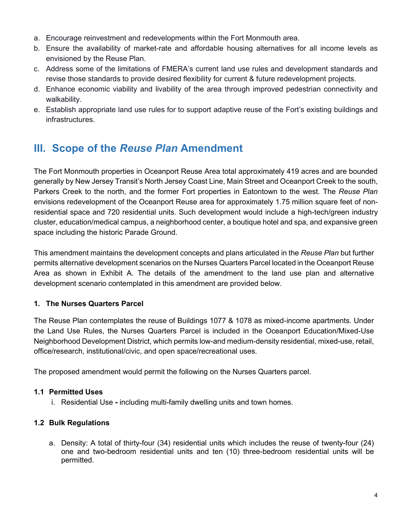- a. Encourage reinvestment and redevelopments within the Fort Monmouth area.
- b. Ensure the availability of market-rate and affordable housing alternatives for all income levels as envisioned by the Reuse Plan.
- c. Address some of the limitations of FMERA's current land use rules and development standards and revise those standards to provide desired flexibility for current & future redevelopment projects.
- d. Enhance economic viability and livability of the area through improved pedestrian connectivity and walkability.
- e. Establish appropriate land use rules for to support adaptive reuse of the Fort's existing buildings and infrastructures.

# <span id="page-6-0"></span>**III. Scope of the** *Reuse Plan* **Amendment**

The Fort Monmouth properties in Oceanport Reuse Area total approximately 419 acres and are bounded generally by New Jersey Transit's North Jersey Coast Line, Main Street and Oceanport Creek to the south, Parkers Creek to the north, and the former Fort properties in Eatontown to the west. The *Reuse Plan* envisions redevelopment of the Oceanport Reuse area for approximately 1.75 million square feet of nonresidential space and 720 residential units. Such development would include a high-tech/green industry cluster, education/medical campus, a neighborhood center, a boutique hotel and spa, and expansive green space including the historic Parade Ground.

This amendment maintains the development concepts and plans articulated in the *Reuse Plan* but further permits alternative development scenarios on the Nurses Quarters Parcel located in the Oceanport Reuse Area as shown in Exhibit A. The details of the amendment to the land use plan and alternative development scenario contemplated in this amendment are provided below.

#### **1. The Nurses Quarters Parcel**

The Reuse Plan contemplates the reuse of Buildings 1077 & 1078 as mixed-income apartments. Under the Land Use Rules, the Nurses Quarters Parcel is included in the Oceanport Education/Mixed-Use Neighborhood Development District, which permits low-and medium-density residential, mixed-use, retail, office/research, institutional/civic, and open space/recreational uses.

The proposed amendment would permit the following on the Nurses Quarters parcel.

#### **1.1 Permitted Uses**

i. Residential Use **-** including multi-family dwelling units and town homes.

#### **1.2 Bulk Regulations**

a. Density: A total of thirty-four (34) residential units which includes the reuse of twenty-four (24) one and two-bedroom residential units and ten (10) three-bedroom residential units will be permitted.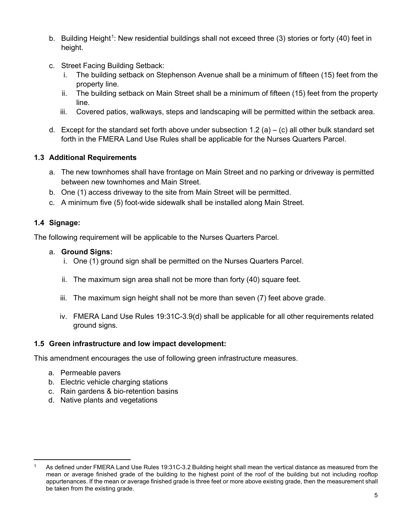- b. Building Height<sup>[1](#page-7-1)</sup>: New residential buildings shall not exceed three (3) stories or forty (40) feet in height.
- c. Street Facing Building Setback:
	- i. The building setback on Stephenson Avenue shall be a minimum of fifteen (15) feet from the property line.
	- ii. The building setback on Main Street shall be a minimum of fifteen (15) feet from the property line.
	- iii. Covered patios, walkways, steps and landscaping will be permitted within the setback area.
- d. Except for the standard set forth above under subsection 1.2 (a) (c) all other bulk standard set forth in the FMERA Land Use Rules shall be applicable for the Nurses Quarters Parcel.

#### **1.3 Additional Requirements**

- a. The new townhomes shall have frontage on Main Street and no parking or driveway is permitted between new townhomes and Main Street.
- b. One (1) access driveway to the site from Main Street will be permitted.
- c. A minimum five (5) foot-wide sidewalk shall be installed along Main Street.

#### **1.4 Signage:**

The following requirement will be applicable to the Nurses Quarters Parcel.

#### a. **Ground Signs:**

- i. One (1) ground sign shall be permitted on the Nurses Quarters Parcel.
- ii. The maximum sign area shall not be more than forty (40) square feet.
- iii. The maximum sign height shall not be more than seven (7) feet above grade.
- iv. FMERA Land Use Rules 19:31C-3.9(d) shall be applicable for all other requirements related ground signs.

#### <span id="page-7-0"></span>**1.5 Green infrastructure and low impact development:**

This amendment encourages the use of following green infrastructure measures.

- a. Permeable pavers
- b. Electric vehicle charging stations
- c. Rain gardens & bio-retention basins
- d. Native plants and vegetations

<span id="page-7-1"></span>As defined under FMERA Land Use Rules 19:31C-3.2 Building height shall mean the vertical distance as measured from the mean or average finished grade of the building to the highest point of the roof of the building but not including rooftop appurtenances. If the mean or average finished grade is three feet or more above existing grade, then the measurement shall be taken from the existing grade.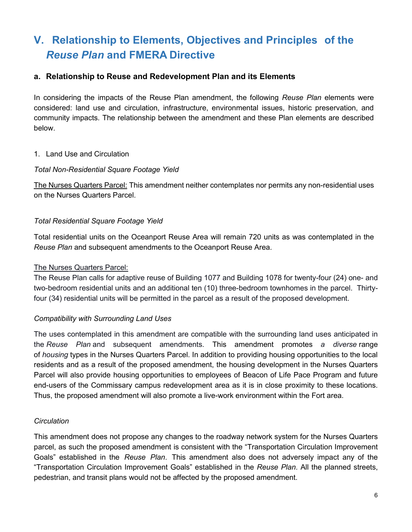# **V. Relationship to Elements, Objectives and Principles of the**  *Reuse Plan* **and FMERA Directive**

#### <span id="page-8-0"></span>**a. Relationship to Reuse and Redevelopment Plan and its Elements**

In considering the impacts of the Reuse Plan amendment, the following *Reuse Plan* elements were considered: land use and circulation, infrastructure, environmental issues, historic preservation, and community impacts. The relationship between the amendment and these Plan elements are described below.

#### 1. Land Use and Circulation

#### *Total Non-Residential Square Footage Yield*

The Nurses Quarters Parcel: This amendment neither contemplates nor permits any non-residential uses on the Nurses Quarters Parcel.

#### *Total Residential Square Footage Yield*

Total residential units on the Oceanport Reuse Area will remain 720 units as was contemplated in the *Reuse Plan* and subsequent amendments to the Oceanport Reuse Area.

#### The Nurses Quarters Parcel:

The Reuse Plan calls for adaptive reuse of Building 1077 and Building 1078 for twenty-four (24) one- and two-bedroom residential units and an additional ten (10) three-bedroom townhomes in the parcel. Thirtyfour (34) residential units will be permitted in the parcel as a result of the proposed development.

#### *Compatibility with Surrounding Land Uses*

The uses contemplated in this amendment are compatible with the surrounding land uses anticipated in the *Reuse Plan* and subsequent amendments. This amendment promotes *a diverse* range of *housing* types in the Nurses Quarters Parcel. In addition to providing housing opportunities to the local residents and as a result of the proposed amendment, the housing development in the Nurses Quarters Parcel will also provide housing opportunities to employees of Beacon of Life Pace Program and future end-users of the Commissary campus redevelopment area as it is in close proximity to these locations. Thus, the proposed amendment will also promote a live-work environment within the Fort area.

#### *Circulation*

This amendment does not propose any changes to the roadway network system for the Nurses Quarters parcel, as such the proposed amendment is consistent with the "Transportation Circulation Improvement Goals" established in the *Reuse Plan*. This amendment also does not adversely impact any of the "Transportation Circulation Improvement Goals" established in the *Reuse Plan*. All the planned streets, pedestrian, and transit plans would not be affected by the proposed amendment.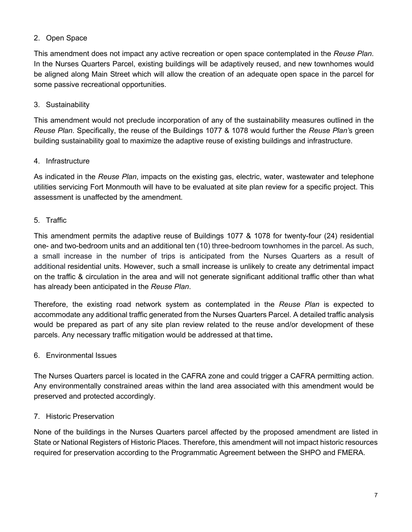#### 2. Open Space

This amendment does not impact any active recreation or open space contemplated in the *Reuse Plan*. In the Nurses Quarters Parcel, existing buildings will be adaptively reused, and new townhomes would be aligned along Main Street which will allow the creation of an adequate open space in the parcel for some passive recreational opportunities.

#### 3. Sustainability

This amendment would not preclude incorporation of any of the sustainability measures outlined in the *Reuse Plan*. Specifically, the reuse of the Buildings 1077 & 1078 would further the *Reuse Plan'*s green building sustainability goal to maximize the adaptive reuse of existing buildings and infrastructure.

#### 4. Infrastructure

As indicated in the *Reuse Plan*, impacts on the existing gas, electric, water, wastewater and telephone utilities servicing Fort Monmouth will have to be evaluated at site plan review for a specific project. This assessment is unaffected by the amendment.

#### 5. Traffic

This amendment permits the adaptive reuse of Buildings 1077 & 1078 for twenty-four (24) residential one- and two-bedroom units and an additional ten (10) three-bedroom townhomes in the parcel. As such, a small increase in the number of trips is anticipated from the Nurses Quarters as a result of additional residential units. However, such a small increase is unlikely to create any detrimental impact on the traffic & circulation in the area and will not generate significant additional traffic other than what has already been anticipated in the *Reuse Plan*.

Therefore, the existing road network system as contemplated in the *Reuse Plan* is expected to accommodate any additional traffic generated from the Nurses Quarters Parcel. A detailed traffic analysis would be prepared as part of any site plan review related to the reuse and/or development of these parcels. Any necessary traffic mitigation would be addressed at that time**.**

#### 6. Environmental Issues

The Nurses Quarters parcel is located in the CAFRA zone and could trigger a CAFRA permitting action. Any environmentally constrained areas within the land area associated with this amendment would be preserved and protected accordingly.

#### 7. Historic Preservation

None of the buildings in the Nurses Quarters parcel affected by the proposed amendment are listed in State or National Registers of Historic Places. Therefore, this amendment will not impact historic resources required for preservation according to the Programmatic Agreement between the SHPO and FMERA.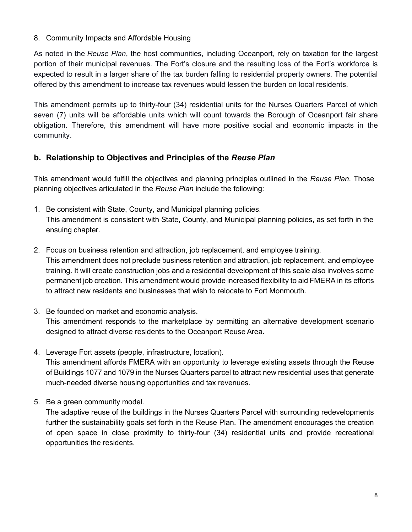#### 8. Community Impacts and Affordable Housing

As noted in the *Reuse Plan*, the host communities, including Oceanport, rely on taxation for the largest portion of their municipal revenues. The Fort's closure and the resulting loss of the Fort's workforce is expected to result in a larger share of the tax burden falling to residential property owners. The potential offered by this amendment to increase tax revenues would lessen the burden on local residents.

This amendment permits up to thirty-four (34) residential units for the Nurses Quarters Parcel of which seven (7) units will be affordable units which will count towards the Borough of Oceanport fair share obligation. Therefore, this amendment will have more positive social and economic impacts in the community.

#### <span id="page-10-0"></span>**b. Relationship to Objectives and Principles of the** *Reuse Plan*

This amendment would fulfill the objectives and planning principles outlined in the *Reuse Plan*. Those planning objectives articulated in the *Reuse Plan* include the following:

- 1. Be consistent with State, County, and Municipal planning policies. This amendment is consistent with State, County, and Municipal planning policies, as set forth in the ensuing chapter.
- 2. Focus on business retention and attraction, job replacement, and employee training. This amendment does not preclude business retention and attraction, job replacement, and employee training. It will create construction jobs and a residential development of this scale also involves some permanent job creation. This amendment would provide increased flexibility to aid FMERA in its efforts to attract new residents and businesses that wish to relocate to Fort Monmouth.
- 3. Be founded on market and economic analysis. This amendment responds to the marketplace by permitting an alternative development scenario designed to attract diverse residents to the Oceanport Reuse Area.
- 4. Leverage Fort assets (people, infrastructure, location). This amendment affords FMERA with an opportunity to leverage existing assets through the Reuse of Buildings 1077 and 1079 in the Nurses Quarters parcel to attract new residential uses that generate much-needed diverse housing opportunities and tax revenues.
- 5. Be a green community model.

The adaptive reuse of the buildings in the Nurses Quarters Parcel with surrounding redevelopments further the sustainability goals set forth in the Reuse Plan. The amendment encourages the creation of open space in close proximity to thirty-four (34) residential units and provide recreational opportunities the residents.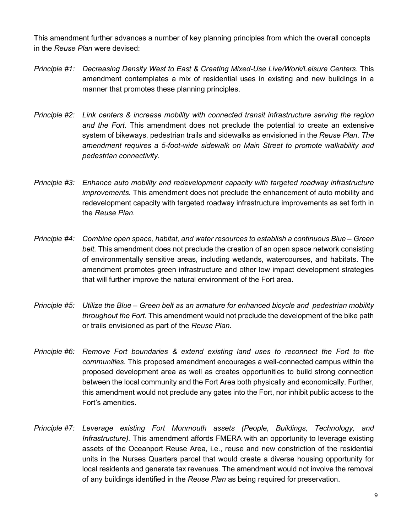This amendment further advances a number of key planning principles from which the overall concepts in the *Reuse Plan* were devised:

- *Principle #1: Decreasing Density West to East & Creating Mixed-Use Live/Work/Leisure Centers*. This amendment contemplates a mix of residential uses in existing and new buildings in a manner that promotes these planning principles.
- *Principle #2: Link centers & increase mobility with connected transit infrastructure serving the region and the Fort*. This amendment does not preclude the potential to create an extensive system of bikeways, pedestrian trails and sidewalks as envisioned in the *Reuse Plan*. *The amendment requires a 5-foot-wide sidewalk on Main Street to promote walkability and pedestrian connectivity.*
- *Principle #3: Enhance auto mobility and redevelopment capacity with targeted roadway infrastructure improvements.* This amendment does not preclude the enhancement of auto mobility and redevelopment capacity with targeted roadway infrastructure improvements as set forth in the *Reuse Plan*.
- *Principle #4: Combine open space, habitat, and water resources to establish a continuous Blue – Green belt.* This amendment does not preclude the creation of an open space network consisting of environmentally sensitive areas, including wetlands, watercourses, and habitats. The amendment promotes green infrastructure and other low impact development strategies that will further improve the natural environment of the Fort area.
- *Principle #5: Utilize the Blue – Green belt as an armature for enhanced bicycle and pedestrian mobility throughout the Fort.* This amendment would not preclude the development of the bike path or trails envisioned as part of the *Reuse Plan*.
- *Principle #6: Remove Fort boundaries & extend existing land uses to reconnect the Fort to the communities.* This proposed amendment encourages a well-connected campus within the proposed development area as well as creates opportunities to build strong connection between the local community and the Fort Area both physically and economically. Further, this amendment would not preclude any gates into the Fort, nor inhibit public access to the Fort's amenities.
- *Principle #7: Leverage existing Fort Monmouth assets (People, Buildings, Technology, and Infrastructure).* This amendment affords FMERA with an opportunity to leverage existing assets of the Oceanport Reuse Area, i.e., reuse and new constriction of the residential units in the Nurses Quarters parcel that would create a diverse housing opportunity for local residents and generate tax revenues. The amendment would not involve the removal of any buildings identified in the *Reuse Plan* as being required for preservation.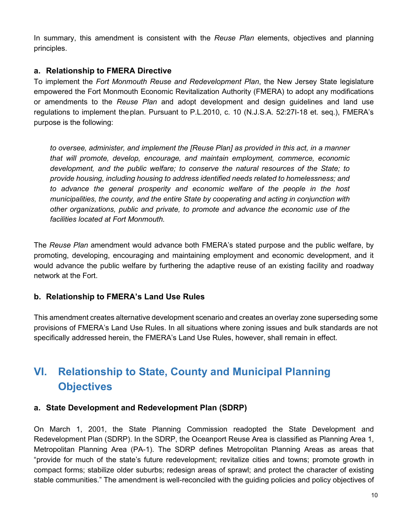In summary, this amendment is consistent with the *Reuse Plan* elements, objectives and planning principles.

#### <span id="page-12-0"></span>**a. Relationship to FMERA Directive**

To implement the *Fort Monmouth Reuse and Redevelopment Plan*, the New Jersey State legislature empowered the Fort Monmouth Economic Revitalization Authority (FMERA) to adopt any modifications or amendments to the *Reuse Plan* and adopt development and design guidelines and land use regulations to implement theplan. Pursuant to P.L.2010, c. 10 (N.J.S.A. 52:27I-18 et. seq.), FMERA's purpose is the following:

*to oversee, administer, and implement the [Reuse Plan] as provided in this act, in a manner that will promote, develop, encourage, and maintain employment, commerce, economic development, and the public welfare; to conserve the natural resources of the State; to provide housing, including housing to address identified needs related to homelessness; and to advance the general prosperity and economic welfare of the people in the host municipalities, the county, and the entire State by cooperating and acting in conjunction with other organizations, public and private, to promote and advance the economic use of the facilities located at Fort Monmouth.*

The *Reuse Plan* amendment would advance both FMERA's stated purpose and the public welfare, by promoting, developing, encouraging and maintaining employment and economic development, and it would advance the public welfare by furthering the adaptive reuse of an existing facility and roadway network at the Fort.

#### **b. Relationship to FMERA's Land Use Rules**

This amendment creates alternative development scenario and creates an overlay zone superseding some provisions of FMERA's Land Use Rules. In all situations where zoning issues and bulk standards are not specifically addressed herein, the FMERA's Land Use Rules, however, shall remain in effect.

# <span id="page-12-1"></span>**VI. Relationship to State, County and Municipal Planning Objectives**

#### <span id="page-12-2"></span>**a. State Development and Redevelopment Plan (SDRP)**

On March 1, 2001, the State Planning Commission readopted the State Development and Redevelopment Plan (SDRP). In the SDRP, the Oceanport Reuse Area is classified as Planning Area 1, Metropolitan Planning Area (PA-1). The SDRP defines Metropolitan Planning Areas as areas that "provide for much of the state's future redevelopment; revitalize cities and towns; promote growth in compact forms; stabilize older suburbs; redesign areas of sprawl; and protect the character of existing stable communities." The amendment is well-reconciled with the guiding policies and policy objectives of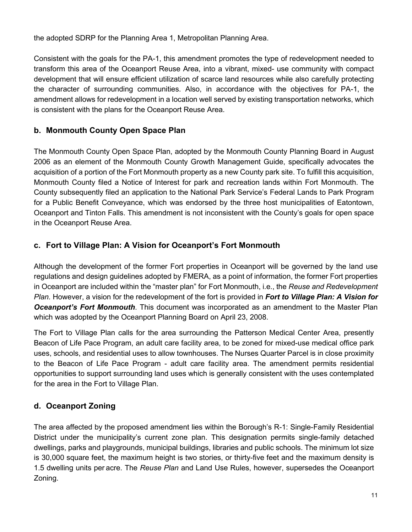the adopted SDRP for the Planning Area 1, Metropolitan Planning Area.

Consistent with the goals for the PA-1, this amendment promotes the type of redevelopment needed to transform this area of the Oceanport Reuse Area, into a vibrant, mixed- use community with compact development that will ensure efficient utilization of scarce land resources while also carefully protecting the character of surrounding communities. Also, in accordance with the objectives for PA-1, the amendment allows for redevelopment in a location well served by existing transportation networks, which is consistent with the plans for the Oceanport Reuse Area.

#### <span id="page-13-0"></span>**b. Monmouth County Open Space Plan**

The Monmouth County Open Space Plan, adopted by the Monmouth County Planning Board in August 2006 as an element of the Monmouth County Growth Management Guide, specifically advocates the acquisition of a portion of the Fort Monmouth property as a new County park site. To fulfill this acquisition, Monmouth County filed a Notice of Interest for park and recreation lands within Fort Monmouth. The County subsequently filed an application to the National Park Service's Federal Lands to Park Program for a Public Benefit Conveyance, which was endorsed by the three host municipalities of Eatontown, Oceanport and Tinton Falls. This amendment is not inconsistent with the County's goals for open space in the Oceanport Reuse Area.

#### <span id="page-13-1"></span>**c. Fort to Village Plan: A Vision for Oceanport's Fort Monmouth**

Although the development of the former Fort properties in Oceanport will be governed by the land use regulations and design guidelines adopted by FMERA, as a point of information, the former Fort properties in Oceanport are included within the "master plan" for Fort Monmouth, i.e., the *Reuse and Redevelopment Plan.* However, a vision for the redevelopment of the fort is provided in *Fort to Village Plan: A Vision for Oceanport's Fort Monmouth*. This document was incorporated as an amendment to the Master Plan which was adopted by the Oceanport Planning Board on April 23, 2008.

The Fort to Village Plan calls for the area surrounding the Patterson Medical Center Area, presently Beacon of Life Pace Program, an adult care facility area, to be zoned for mixed-use medical office park uses, schools, and residential uses to allow townhouses. The Nurses Quarter Parcel is in close proximity to the Beacon of Life Pace Program - adult care facility area. The amendment permits residential opportunities to support surrounding land uses which is generally consistent with the uses contemplated for the area in the Fort to Village Plan.

#### <span id="page-13-2"></span>**d. Oceanport Zoning**

The area affected by the proposed amendment lies within the Borough's R-1: Single-Family Residential District under the municipality's current zone plan. This designation permits single-family detached dwellings, parks and playgrounds, municipal buildings, libraries and public schools. The minimum lot size is 30,000 square feet, the maximum height is two stories, or thirty-five feet and the maximum density is 1.5 dwelling units per acre. The *Reuse Plan* and Land Use Rules, however, supersedes the Oceanport Zoning.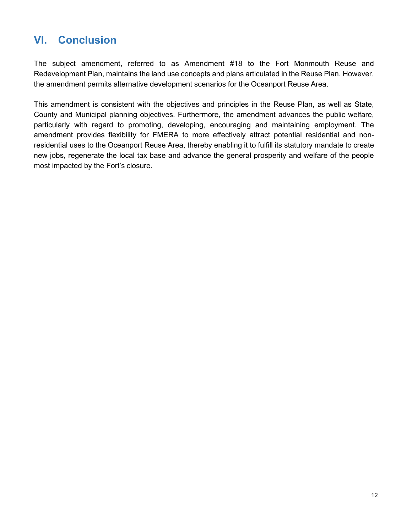# <span id="page-14-0"></span>**VI. Conclusion**

The subject amendment, referred to as Amendment #18 to the Fort Monmouth Reuse and Redevelopment Plan, maintains the land use concepts and plans articulated in the Reuse Plan. However, the amendment permits alternative development scenarios for the Oceanport Reuse Area.

This amendment is consistent with the objectives and principles in the Reuse Plan, as well as State, County and Municipal planning objectives. Furthermore, the amendment advances the public welfare, particularly with regard to promoting, developing, encouraging and maintaining employment. The amendment provides flexibility for FMERA to more effectively attract potential residential and nonresidential uses to the Oceanport Reuse Area, thereby enabling it to fulfill its statutory mandate to create new jobs, regenerate the local tax base and advance the general prosperity and welfare of the people most impacted by the Fort's closure.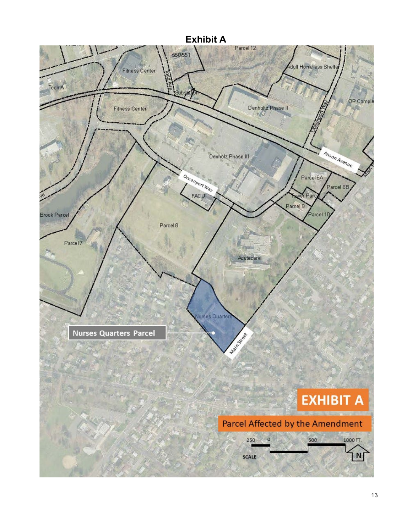